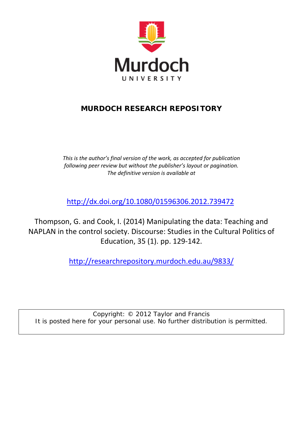

# **MURDOCH RESEARCH REPOSITORY**

*This is the author's final version of the work, as accepted for publication following peer review but without the publisher's layout or pagination. The definitive version is available at*

<http://dx.doi.org/10.1080/01596306.2012.739472>

Thompson, G. and Cook, I. (2014) Manipulating the data: Teaching and NAPLAN in the control society. Discourse: Studies in the Cultural Politics of Education, 35 (1). pp. 129-142.

<http://researchrepository.murdoch.edu.au/9833/>

Copyright: © 2012 Taylor and Francis It is posted here for your personal use. No further distribution is permitted.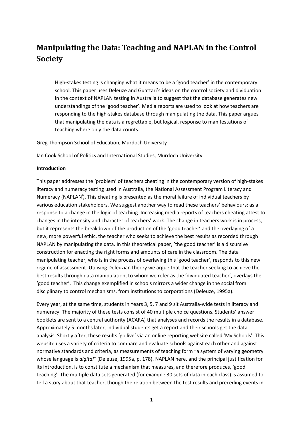# **Manipulating the Data: Teaching and NAPLAN in the Control Society**

High-stakes testing is changing what it means to be a 'good teacher' in the contemporary school. This paper uses Deleuze and Guattari's ideas on the control society and dividuation in the context of NAPLAN testing in Australia to suggest that the database generates new understandings of the 'good teacher'. Media reports are used to look at how teachers are responding to the high-stakes database through manipulating the data. This paper argues that manipulating the data is a regrettable, but logical, response to manifestations of teaching where only the data counts.

Greg Thompson School of Education, Murdoch University

Ian Cook School of Politics and International Studies, Murdoch University

#### **Introduction**

This paper addresses the 'problem' of teachers cheating in the contemporary version of high-stakes literacy and numeracy testing used in Australia, the National Assessment Program Literacy and Numeracy (NAPLAN<sup>[i](#page-15-0)</sup>). This cheating is presented as the moral failure of individual teachers by various education stakeholders. We suggest another way to read these teachers' behaviours: as a response to a change in the logic of teaching. Increasing media reports of teachers cheating attest to changes in the intensity and character of teachers' work. The change in teachers work is in process, but it represents the breakdown of the production of the 'good teacher' and the overlaying of a new, more powerful ethic, the teacher who seeks to achieve the best results as recorded through NAPLAN by manipulating the data. In this theoretical paper, 'the good teacher' is a discursive construction for enacting the right forms and amounts of care in the classroom. The data manipulating teacher, who is in the process of overlaying this 'good teacher', responds to this new regime of assessment. Utilising Deleuzian theory we argue that the teacher seeking to achieve the best results through data manipulation, to whom we refer as the 'dividuated teacher', overlays the 'good teacher'. This change exemplified in schools mirrors a wider change in the social from disciplinary to control mechanisms, from institutions to corporations (Deleuze, 1995a).

Every year, at the same time, students in Years 3, 5, 7 and 9 sit Australia-wide tests in literacy and numeracy. The majority of these tests consist of 40 multiple choice questions. Students' answer booklets are sent to a central authority (ACARA) that analyses and records the results in a database. Approximately 5 months later, individual students get a report and their schools get the data analysis. Shortly after, these results 'go live' via an online reporting website called 'My Schools'. This website uses a variety of criteria to compare and evaluate schools against each other and against normative standards and criteria, as measurements of teaching form "a system of varying geometry whose language is *digital*" (Deleuze, 1995a, p. 178). NAPLAN here, and the principal justification for its introduction, is to constitute a mechanism that measures, and therefore produces, 'good teaching'. The multiple data sets generated (for example 30 sets of data in each class) is assumed to tell a story about that teacher, though the relation between the test results and preceding events in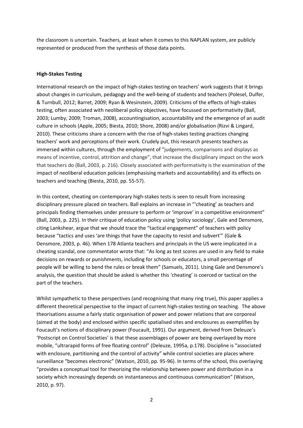the classroom is uncertain. Teachers, at least when it comes to this NAPLAN system, are publicly represented or produced from the synthesis of those data points.

## **High-Stakes Testing**

International research on the impact of high-stakes testing on teachers' work suggests that it brings about changes in curriculum, pedagogy and the well-being of students and teachers (Polesel, Dulfer, & Turnbull, 2012; Barret, 2009; Ryan & Wesinstein, 2009). Criticisms of the effects of high-stakes testing, often associated with neoliberal policy objectives, have focussed on performativity (Ball, 2003; Lumby, 2009; Troman, 2008), accountingisation, accountability and the emergence of an audit culture in schools (Apple, 2005; Biesta, 2010; Shore, 2008) and/or globalisation (Rizvi & Lingard, 2010). These criticisms share a concern with the rise of high-stakes testing practices changing teachers' work and perceptions of their work. Crudely put, this research presents teachers as immersed within cultures, through the employment of "judgements, comparisons and displays as means of incentive, control, attrition and change", that increase the disciplinary impact on the work that teachers do (Ball, 2003, p. 216). Closely associated with performativity is the examination of the impact of neoliberal education policies (emphasising markets and accountability) and its effects on teachers and teaching (Biesta, 2010, pp. 55-57).

In this context, cheating on contemporary high-stakes tests is seen to result from increasing disciplinary pressure placed on teachers. Ball explains an increase in "'cheating' as teachers and principals finding themselves under pressure to perform or 'improve' in a competitive environment" (Ball, 2003, p. 225). In their critique of education policy using 'policy sociology', Gale and Densmore, citing Lankshear, argue that we should trace the "tactical engagement" of teachers with policy because "tactics and uses 'are things that have the capacity to resist and subvert'" (Gale & Densmore, 2003, p. 46). When 178 Atlanta teachers and principals in the US were implicated in a cheating scandal, one commentator wrote that: "As long as test scores are used in any field to make decisions on rewards or punishments, including for schools or educators, a small percentage of people will be willing to bend the rules or break them" (Samuels, 2011). Using Gale and Densmore's analysis, the question that should be asked is whether this 'cheating' is coerced or tactical on the part of the teachers.

Whilst sympathetic to these perspectives (and recognising that many ring true), this paper applies a different theoretical perspective to the impact of current high-stakes testing on teaching. The above theorisations assume a fairly static organisation of power and power relations that are corporeal (aimed at the body) and enclosed within specific spatialised sites and enclosures as exemplifies by Foucault's notions of disciplinary power (Foucault, 1991). Our argument, derived from Deleuze's 'Postscript on Control Societies' is that these assemblages of power are being overlayed by more mobile, "ultrarapid forms of free floating control" (Deleuze, 1995a, p.178). Discipline is "associated with enclosure, partitioning and the control of activity" while control societies are places where surveillance "becomes electronic" (Watson, 2010, pp. 95-96). In terms of the school, this overlaying "provides a conceptual tool for theorizing the relationship between power and distribution in a society which increasingly depends on instantaneous and continuous communication" (Watson, 2010, p. 97).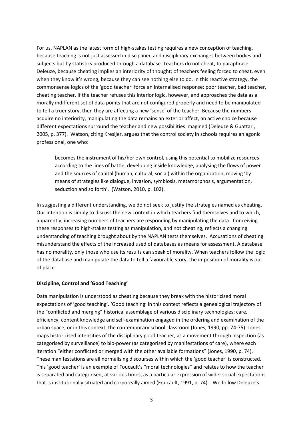For us, NAPLAN as the latest form of high-stakes testing requires a new conception of teaching, because teaching is not just assessed in disciplined and disciplinary exchanges between bodies and subjects but by statistics produced through a database. Teachers do not cheat, to paraphrase Deleuze, because cheating implies an interiority of thought; of teachers feeling forced to cheat, even when they know it's wrong, because they can see nothing else to do. In this reactive strategy, the commonsense logics of the 'good teacher' force an internalised response: poor teacher, bad teacher, cheating teacher. If the teacher refuses this interior logic, however, and approaches the data as a morally indifferent set of data points that are not configured properly and need to be manipulated to tell a truer story, then they are affecting a new 'sense' of the teacher. Because the numbers acquire no interiority, manipulating the data remains an exterior affect, an active choice because different expectations surround the teacher and new possibilities imagined (Deleuze & Guattari, 2005, p. 377). Watson, citing Kresljer, argues that the control society in schools requires an agonic professional, one who:

becomes the instrument of his/her own control, using this potential to mobilize resources according to the lines of battle, developing inside knowledge, analysing the flows of power and the sources of capital (human, cultural, social) within the organization, moving 'by means of strategies like dialogue, invasion, symbiosis, metamorphosis, argumentation, seduction and so forth'. (Watson, 2010, p. 102).

In suggesting a different understanding, we do not seek to justify the strategies named as cheating. Our intention is simply to discuss the new context in which teachers find themselves and to which, apparently, increasing numbers of teachers are responding by manipulating the data. Conceiving these responses to high-stakes testing as manipulation, and not cheating, reflects a changing understanding of teaching brought about by the NAPLAN tests themselves. Accusations of cheating misunderstand the effects of the increased used of databases as means for assessment. A database has no morality, only those who use its results can speak of morality. When teachers follow the logic of the database and manipulate the data to tell a favourable story, the imposition of morality is out of place.

### **Discipline, Control and 'Good Teaching'**

Data manipulation is understood as cheating because they break with the historicised moral expectations of 'good teaching'. 'Good teaching' in this context reflects a genealogical trajectory of the "conflicted and merging" historical assemblage of various disciplinary technologies; care, efficiency, content knowledge and self-examination engaged in the ordering and examination of the urban space, or in this context, the contemporary school classroom (Jones, 1990, pp. 74-75). Jones maps historicised intensities of the disciplinary good teacher, as a movement through inspection (as categorised by surveillance) to bio-power (as categorised by manifestations of care), where each iteration "either conflicted or merged with the other available formations" (Jones, 1990, p. 74). These manifestations are all normalising discourses within which the 'good teacher' is constructed. This 'good teacher' is an example of Foucault's "moral technologies" and relates to how the teacher is separated and categorised, at various times, as a particular expression of wider social expectations that is institutionally situated and corporeally aimed (Foucault, 1991, p. 74). We follow Deleuze's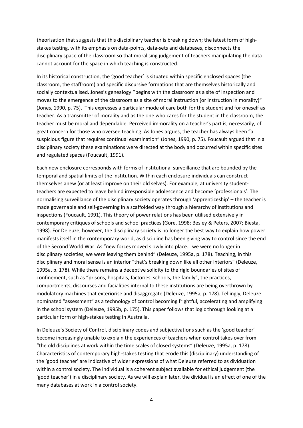theorisation that suggests that this disciplinary teacher is breaking down; the latest form of highstakes testing, with its emphasis on data-points, data-sets and databases, disconnects the disciplinary space of the classroom so that moralising judgement of teachers manipulating the data cannot account for the space in which teaching is constructed.

In its historical construction, the 'good teacher' is situated within specific enclosed spaces (the classroom, the staffroom) and specific discursive formations that are themselves historically and socially contextualised. Jones's genealogy ''begins with the classroom as a site of inspection and moves to the emergence of the classroom as a site of moral instruction (or instruction in morality)" (Jones, 1990, p. 75). This expresses a particular mode of care both for the student and for oneself as teacher. As a transmitter of morality and as the one who cares for the student in the classroom, the teacher must be moral and dependable. Perceived immorality on a teacher's part is, necessarily, of great concern for those who oversee teaching. As Jones argues, the teacher has always been "a suspicious figure that requires continual examination" (Jones, 1990, p. 75). Foucault argued that in a disciplinary society these examinations were directed at the body and occurred within specific sites and regulated spaces (Foucault, 1991).

Each new enclosure corresponds with forms of institutional surveillance that are bounded by the temporal and spatial limits of the institution. Within each enclosure individuals can construct themselves anew (or at least improve on their old selves). For example, at university studentteachers are expected to leave behind irresponsible adolescence and become 'professionals'. The normalising surveillance of the disciplinary society operates through 'apprenticeship' – the teacher is made governable and self-governing in a scaffolded way through a hierarchy of institutions and inspections (Foucault, 1991). This theory of power relations has been utilised extensively in contemporary critiques of schools and school practices (Gore, 1998; Besley & Peters, 2007; Biesta, 1998). For Deleuze, however, the disciplinary society is no longer the best way to explain how power manifests itself in the contemporary world, as discipline has been giving way to control since the end of the Second World War. As "new forces moved slowly into place… we were no longer in disciplinary societies, we were leaving them behind" (Deleuze, 1995a, p. 178). Teaching, in this disciplinary and moral sense is an interior "that's breaking down like all other interiors" (Deleuze, 1995a, p. 178). While there remains a deceptive solidity to the rigid boundaries of sites of confinement, such as "prisons, hospitals, factories, schools, the family", the practices, comportments, discourses and facialities internal to these institutions are being overthrown by modulatory machines that exteriorise and disaggregate (Deleuze, 1995a, p. 178). Tellingly, Deleuze nominated "assessment" as a technology of control becoming frightful, accelerating and amplifying in the school system (Deleuze, 1995b, p. 175). This paper follows that logic through looking at a particular form of high-stakes testing in Australia.

In Deleuze's Society of Control, disciplinary codes and subjectivations such as the 'good teacher' become increasingly unable to explain the experiences of teachers when control takes over from "the old disciplines at work within the time scales of closed systems" (Deleuze, 1995a, p. 178). Characteristics of contemporary high-stakes testing that erode this (disciplinary) understanding of the 'good teacher' are indicative of wider expressions of what Deleuze referred to as dividuation within a control society. The individual is a coherent subject available for ethical judgement (the 'good teacher') in a disciplinary society. As we will explain later, the dividual is an effect of one of the many databases at work in a control society.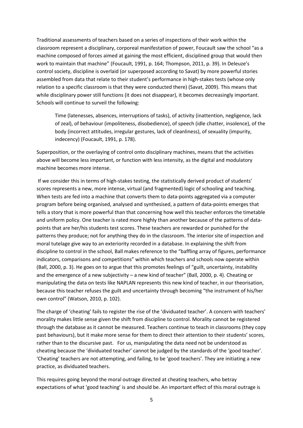Traditional assessments of teachers based on a series of inspections of their work within the classroom represent a disciplinary, corporeal manifestation of power, Foucault saw the school "as a machine composed of forces aimed at gaining the most efficient, disciplined group that would then work to maintain that machine" (Foucault, 1991, p. 164; Thompson, 2011, p. 39). In Deleuze's control society, discipline is overlaid (or superposed according to Savat) by more powerful stories assembled from data that relate to their student's performance in high-stakes tests (whose only relation to a specific classroom is that they were conducted there) (Savat, 2009). This means that while disciplinary power still functions (it does not disappear), it becomes decreasingly important. Schools will continue to surveil the following:

Time (latenesses, absences, interruptions of tasks), of activity (inattention, negligence, lack of zeal), of behaviour (impoliteness, disobedience), of speech (idle chatter, insolence), of the body (incorrect attitudes, irregular gestures, lack of cleanliness), of sexuality (impurity, indecency) (Foucault, 1991, p. 178).

Superposition, or the overlaying of control onto disciplinary machines, means that the activities above will become less important, or function with less intensity, as the digital and modulatory machine becomes more intense.

If we consider this in terms of high-stakes testing, the statistically derived product of students' scores represents a new, more intense, virtual (and fragmented) logic of schooling and teaching. When tests are fed into a machine that converts them to data-points aggregated via a computer program before being organised, analysed and synthesised, a pattern of data-points emerges that tells a story that is more powerful than that concerning how well this teacher enforces the timetable and uniform policy. One teacher is rated more highly than another because of the patterns of datapoints that are her/his students test scores. These teachers are rewarded or punished for the patterns they produce; not for anything they do in the classroom. The interior site of inspection and moral tutelage give way to an exteriority recorded in a database. In explaining the shift from discipline to control in the school, Ball makes reference to the "baffling array of figures, performance indicators, comparisons and competitions" within which teachers and schools now operate within (Ball, 2000, p. 3). He goes on to argue that this promotes feelings of "guilt, uncertainty, instability and the emergence of a new subjectivity – a new kind of teacher" (Ball, 2000, p. 4). Cheating or manipulating the data on tests like NAPLAN represents this new kind of teacher, in our theorisation, because this teacher refuses the guilt and uncertainty through becoming "the instrument of his/her own control" (Watson, 2010, p. 102).

The charge of 'cheating' fails to register the rise of the 'dividuated teacher'. A concern with teachers' morality makes little sense given the shift from discipline to control. Morality cannot be registered through the database as it cannot be measured. Teachers continue to teach in classrooms (they copy past behaviours), but it make more sense for them to direct their attention to their students' scores, rather than to the discursive past. For us, manipulating the data need not be understood as cheating because the 'dividuated teacher' cannot be judged by the standards of the 'good teacher'. 'Cheating' teachers are not attempting, and failing, to be 'good teachers'. They are initiating a new practice, as dividuated teachers.

This requires going beyond the moral outrage directed at cheating teachers, who betray expectations of what 'good teaching' is and should be. An important effect of this moral outrage is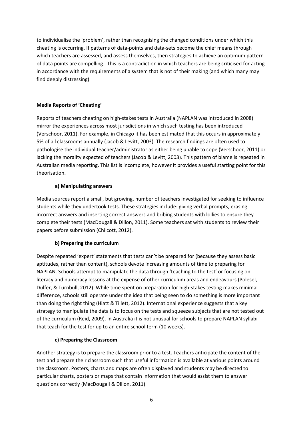to individualise the 'problem', rather than recognising the changed conditions under which this cheating is occurring. If patterns of data-points and data-sets become the chief means through which teachers are assessed, and assess themselves, then strategies to achieve an optimum pattern of data points are compelling. This is a contradiction in which teachers are being criticised for acting in accordance with the requirements of a system that is not of their making (and which many may find deeply distressing).

## **Media Reports of 'Cheating'**

Reports of teachers cheating on high-stakes tests in Australia (NAPLAN was introduced in 2008) mirror the experiences across most jurisdictions in which such testing has been introduced (Verschoor, 2011). For example, in Chicago it has been estimated that this occurs in approximately 5% of all classrooms annually (Jacob & Levitt, 2003). The research findings are often used to pathologise the individual teacher/administrator as either being unable to cope (Verschoor, 2011) or lacking the morality expected of teachers (Jacob & Levitt, 2003). This pattern of blame is repeated in Australian media reporting. This list is incomplete, however it provides a useful starting point for this theorisation.

## **a) Manipulating answers**

Media sources report a small, but growing, number of teachers investigated for seeking to influence students while they undertook tests. These strategies include: giving verbal prompts, erasing incorrect answers and inserting correct answers and bribing students with lollies to ensure they complete their tests (MacDougall & Dillon, 2011). Some teachers sat with students to review their papers before submission (Chilcott, 2012).

## **b) Preparing the curriculum**

Despite repeated 'expert' statements that tests can't be prepared for (because they assess basic aptitudes, rather than content), schools devote increasing amounts of time to preparing for NAPLAN. Schools attempt to manipulate the data through 'teaching to the test' or focusing on literacy and numeracy lessons at the expense of other curriculum areas and endeavours (Polesel, Dulfer, & Turnbull, 2012). While time spent on preparation for high-stakes testing makes minimal difference, schools still operate under the idea that being seen to do something is more important than doing the right thing (Hiatt & Tillett, 2012). International experience suggests that a key strategy to manipulate the data is to focus on the tests and squeeze subjects that are not tested out of the curriculum (Reid, 2009). In Australia it is not unusual for schools to prepare NAPLAN syllabi that teach for the test for up to an entire school term (10 weeks).

## **c) Preparing the Classroom**

Another strategy is to prepare the classroom prior to a test. Teachers anticipate the content of the test and prepare their classroom such that useful information is available at various points around the classroom. Posters, charts and maps are often displayed and students may be directed to particular charts, posters or maps that contain information that would assist them to answer questions correctly (MacDougall & Dillon, 2011).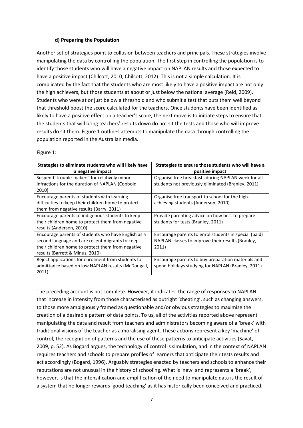## **d) Preparing the Population**

Another set of strategies point to collusion between teachers and principals. These strategies involve manipulating the data by controlling the population. The first step in controlling the population is to identify those students who will have a negative impact on NAPLAN results and those expected to have a positive impact (Chilcott, 2010; Chilcott, 2012). This is not a simple calculation. It is complicated by the fact that the students who are most likely to have a positive impact are not only the high achievers, but those students at about or just below the national average (Reid, 2009). Students who were at or just below a threshold and who submit a test that puts them well beyond that threshold boost the score calculated for the teachers. Once students have been identified as likely to have a positive effect on a teacher's score, the next move is to initiate steps to ensure that the students that will bring teachers' results down do not sit the tests and those who will improve results do sit them. Figure 1 outlines attempts to manipulate the data through controlling the population reported in the Australian media.

| Strategies to eliminate students who will likely have<br>a negative impact | Strategies to ensure those students who will have a<br>positive impact |
|----------------------------------------------------------------------------|------------------------------------------------------------------------|
|                                                                            |                                                                        |
| Suspend 'trouble-makers' for relatively minor                              | Organise free breakfasts during NAPLAN week for all                    |
| infractions for the duration of NAPLAN (Cobbold,                           | students not previously eliminated (Branley, 2011)                     |
| 2010)                                                                      |                                                                        |
| Encourage parents of students with learning                                | Organise free transport to school for the high-                        |
| difficulties to keep their children home to protect                        | achieving students (Anderson, 2010)                                    |
| them from negative results (Barry, 2011)                                   |                                                                        |
| Encourage parents of indigenous students to keep                           | Provide parenting advice on how best to prepare                        |
| their children home to protect them from negative                          | students for tests (Branley, 2011)                                     |
| results (Anderson, 2010)                                                   |                                                                        |
| Encourage parents of students who have English as a                        | Encourage parents to enrol students in special (paid)                  |
| second language and are recent migrants to keep                            | NAPLAN classes to improve their results (Branley,                      |
| their children home to protect them from negative                          | 2011)                                                                  |
| results (Barrett & Minus, 2010)                                            |                                                                        |
| Reject applications for enrolment from students for                        | Encourage parents to buy preparation materials and                     |
| admittance based on low NAPLAN results (McDougall,                         | spend holidays studying for NAPLAN (Branley, 2011)                     |
| 2011)                                                                      |                                                                        |

Figure 1:

The preceding account is not complete. However, it indicates the range of responses to NAPLAN that increase in intensity from those characterised as outright 'cheating', such as changing answers, to those more ambiguously framed as questionable and/or obvious strategies to maximise the creation of a desirable pattern of data points. To us, all of the activities reported above represent manipulating the data and result from teachers and administrators becoming aware of a 'break' with traditional visions of the teacher as a moralising agent. These actions represent a key 'machine' of control, the recognition of patterns and the use of these patterns to anticipate activities (Savat, 2009, p. 52). As Bogard argues, the technology of control is simulation, and in the context of NAPLAN requires teachers and schools to prepare profiles of learners that anticipate their tests results and act accordingly (Bogard, 1996). Arguably strategies enacted by teachers and schools to enhance their reputations are not unusual in the history of schooling. What is 'new' and represents a 'break', however, is that the intensification and amplification of the need to manipulate data is the result of a system that no longer rewards 'good teaching' as it has historically been conceived and practiced.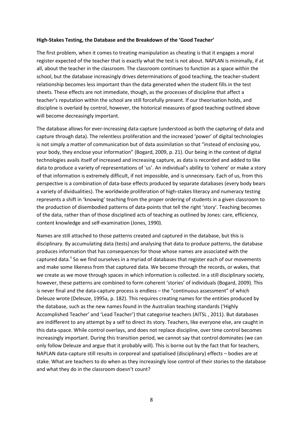#### **High-Stakes Testing, the Database and the Breakdown of the 'Good Teacher'**

The first problem, when it comes to treating manipulation as cheating is that it engages a moral register expected of the teacher that is exactly what the test is not about. NAPLAN is minimally, if at all, about the teacher in the classroom. The classroom continues to function as a space within the school, but the database increasingly drives determinations of good teaching, the teacher-student relationship becomes less important than the data generated when the student fills in the test sheets. These effects are not immediate, though, as the processes of discipline that affect a teacher's reputation within the school are still forcefully present. If our theorisation holds, and discipline is overlaid by control, however, the historical measures of good teaching outlined above will become decreasingly important.

The database allows for ever-increasing data-capture (understood as both the capturing of data and capture through data). The relentless proliferation and the increased 'power' of digital technologies is not simply a matter of communication but of data assimilation so that "instead of enclosing you, your body, they enclose your information" (Bogard, 2009, p. 21). Our being in the context of digital technologies avails itself of increased and increasing capture, as data is recorded and added to like data to produce a variety of representations of 'us'. An individual's ability to 'cohere' or make a story of that information is extremely difficult, if not impossible, and is unnecessary. Each of us, from this perspective is a combination of data-base effects produced by separate databases (every body bears a variety of dividualities). The worldwide proliferation of high-stakes literacy and numeracy testing represents a shift in 'knowing' teaching from the proper ordering of students in a given classroom to the production of disembodied patterns of data-points that tell the right 'story'. Teaching becomes of the data, rather than of those disciplined acts of teaching as outlined by Jones: care, efficiency, content knowledge and self-examination (Jones, 1990).

Names are still attached to those patterns created and captured in the database, but this is disciplinary. By accumulating data (tests) and analysing that data to produce patterns, the database produces information that has consequences for those whose names are associated with the captured data.<sup>[ii](#page-15-1)</sup> So we find ourselves in a myriad of databases that register each of our movements and make some likeness from that captured data. We become through the records, or wakes, that we create as we move through spaces in which information is collected. In a still disciplinary society, however, these patterns are combined to form coherent 'stories' of individuals (Bogard, 2009). This is never final and the data-capture process is endless – the "continuous assessment" of which Deleuze wrote (Deleuze, 1995a, p. 182). This requires creating names for the entities produced by the database, such as the new names found in the Australian teaching standards ('Highly Accomplished Teacher' and 'Lead Teacher') that categorise teachers (AITSL , 2011). But databases are indifferent to any attempt by a self to direct its story. Teachers, like everyone else, are caught in this data-space. While control overlays, and does not replace discipline, over time control becomes increasingly important. During this transition period, we cannot say that control dominates (we can only follow Deleuze and argue that it probably will). This is borne out by the fact that for teachers, NAPLAN data-capture still results in corporeal and spatialised (disciplinary) effects – bodies are at stake. What are teachers to do when as they increasingly lose control of their stories to the database and what they do in the classroom doesn't count?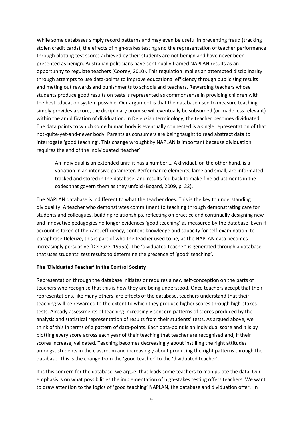While some databases simply record patterns and may even be useful in preventing fraud (tracking stolen credit cards), the effects of high-stakes testing and the representation of teacher performance through plotting test scores achieved by their students are not benign and have never been presented as benign. Australian politicians have continually framed NAPLAN results as an opportunity to regulate teachers (Coorey, 2010). This regulation implies an attempted disciplinarity through attempts to use data-points to improve educational efficiency through publicising results and meting out rewards and punishments to schools and teachers. Rewarding teachers whose students produce good results on tests is represented as commonsense in providing children with the best education system possible. Our argument is that the database used to measure teaching simply provides a score, the disciplinary promise will eventually be subsumed (or made less relevant) within the amplification of dividuation. In Deleuzian terminology, the teacher becomes dividuated. The data points to which some human body is eventually connected is a single representation of that not-quite-yet-and-never body. Parents as consumers are being taught to read abstract data to interrogate 'good teaching'. This change wrought by NAPLAN is important because dividuation requires the end of the individuated 'teacher':

An individual is an extended unit; it has a number … A dividual, on the other hand, is a variation in an intensive parameter. Performance elements, large and small, are informated, tracked and stored in the database, and results fed back to make fine adjustments in the codes that govern them as they unfold (Bogard, 2009, p. 22).

The NAPLAN database is indifferent to what the teacher does. This is the key to understanding dividuality. A teacher who demonstrates commitment to teaching through demonstrating care for students and colleagues, building relationships, reflecting on practice and continually designing new and innovative pedagogies no longer evidences 'good teaching' as measured by the database. Even if account is taken of the care, efficiency, content knowledge and capacity for self-examination, to paraphrase Deleuze, this is part of who the teacher used to be, as the NAPLAN data becomes increasingly persuasive (Deleuze, 1995a). The 'dividuated teacher' is generated through a database that uses students' test results to determine the presence of 'good' teaching'.

### **The 'Dividuated Teacher' in the Control Society**

Representation through the database initiates or requires a new self-conception on the parts of teachers who recognise that this is how they are being understood. Once teachers accept that their representations, like many others, are effects of the database, teachers understand that their teaching will be rewarded to the extent to which they produce higher scores through high-stakes tests. Already assessments of teaching increasingly concern patterns of scores produced by the analysis and statistical representation of results from their students' tests. As argued above, we think of this in terms of a pattern of data-points. Each data-point is an individual score and it is by plotting every score across each year of their teaching that teacher are recognised and, if their scores increase, validated. Teaching becomes decreasingly about instilling the right attitudes amongst students in the classroom and increasingly about producing the right patterns through the database. This is the change from the 'good teacher' to the 'dividuated teacher'.

It is this concern for the database, we argue, that leads some teachers to manipulate the data. Our emphasis is on what possibilities the implementation of high-stakes testing offers teachers. We want to draw attention to the logics of 'good teaching' NAPLAN, the database and dividuation offer. In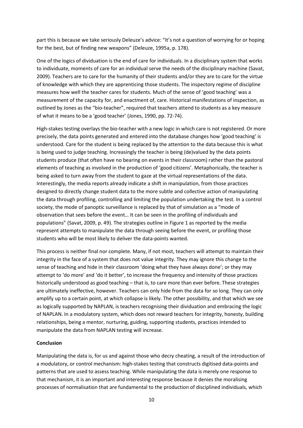part this is because we take seriously Deleuze's advice: "It's not a question of worrying for or hoping for the best, but of finding new weapons" (Deleuze, 1995a, p. 178).

One of the logics of dividuation is the end of care for individuals. In a disciplinary system that works to individuate, moments of care for an individual serve the needs of the disciplinary machine (Savat, 2009). Teachers are to care for the humanity of their students and/or they are to care for the virtue of knowledge with which they are apprenticing those students. The inspectory regime of discipline measures how well the teacher cares for students. Much of the sense of 'good teaching' was a measurement of the capacity for, and enactment of, care. Historical manifestations of inspection, as outlined by Jones as the "bio-teacher", required that teachers attend to students as a key measure of what it means to be a 'good teacher' (Jones, 1990, pp. 72-74).

High-stakes testing overlays the bio-teacher with a new logic in which care is not registered. Or more precisely, the data points generated and entered into the database changes how 'good teaching' is understood. Care for the student is being replaced by the attention to the data because this is what is being used to judge teaching. Increasingly the teacher is being (de)valued by the data points students produce (that often have no bearing on events in their classroom) rather than the pastoral elements of teaching as involved in the production of 'good citizens'. Metaphorically, the teacher is being asked to turn away from the student to gaze at the virtual representations of the data. Interestingly, the media reports already indicate a shift in manipulation, from those practices designed to directly change student data to the more subtle and collective action of manipulating the data through profiling, controlling and limiting the population undertaking the test. In a control society, the mode of panoptic surveillance is replaced by that of simulation as a "mode of observation that sees before the event… It can be seen in the profiling of individuals and populations" (Savat, 2009, p. 49). The strategies outline in Figure 1 as reported by the media represent attempts to manipulate the data through seeing before the event, or profiling those students who will be most likely to deliver the data-points wanted.

This process is neither final nor complete. Many, if not most, teachers will attempt to maintain their integrity in the face of a system that does not value integrity. They may ignore this change to the sense of teaching and hide in their classroom 'doing what they have always done'; or they may attempt to 'do more' and 'do it better', to increase the frequency and intensity of those practices historically understood as good teaching – that is, to care more than ever before. These strategies are ultimately ineffective, however. Teachers can only hide from the data for so long. They can only amplify up to a certain point, at which collapse is likely. The other possibility, and that which we see as logically supported by NAPLAN, is teachers recognising their dividuation and embracing the logic of NAPLAN. In a modulatory system, which does not reward teachers for integrity, honesty, building relationships, being a mentor, nurturing, guiding, supporting students, practices intended to manipulate the data from NAPLAN testing will increase.

## **Conclusion**

Manipulating the data is, for us and against those who decry cheating, a result of the introduction of a modulatory, or control mechanism: high-stakes testing that constructs digitised data-points and patterns that are used to assess teaching. While manipulating the data is merely one response to that mechanism, it is an important and interesting response because it denies the moralising processes of normalisation that are fundamental to the production of disciplined individuals, which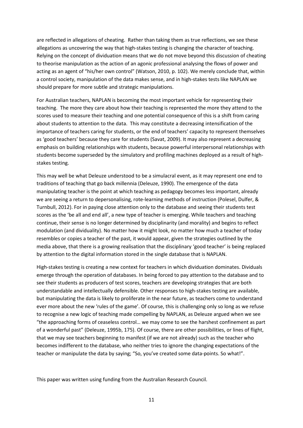are reflected in allegations of cheating. Rather than taking them as true reflections, we see these allegations as uncovering the way that high-stakes testing is changing the character of teaching. Relying on the concept of dividuation means that we do not move beyond this discussion of cheating to theorise manipulation as the action of an agonic professional analysing the flows of power and acting as an agent of "his/her own control" (Watson, 2010, p. 102). We merely conclude that, within a control society, manipulation of the data makes sense, and in high-stakes tests like NAPLAN we should prepare for more subtle and strategic manipulations.

For Australian teachers, NAPLAN is becoming the most important vehicle for representing their teaching. The more they care about how their teaching is represented the more they attend to the scores used to measure their teaching and one potential consequence of this is a shift from caring about students to attention to the data. This may constitute a decreasing intensification of the importance of teachers caring for students, or the end of teachers' capacity to represent themselves as 'good teachers' because they care for students (Savat, 2009). It may also represent a decreasing emphasis on building relationships with students, because powerful interpersonal relationships with students become superseded by the simulatory and profiling machines deployed as a result of highstakes testing.

This may well be what Deleuze understood to be a simulacral event, as it may represent one end to traditions of teaching that go back millennia (Deleuze, 1990). The emergence of the data manipulating teacher is the point at which teaching as pedagogy becomes less important, already we are seeing a return to depersonalising, rote-learning methods of instruction (Polesel, Dulfer, & Turnbull, 2012). For in paying close attention only to the database and seeing their students test scores as the 'be all and end all', a new type of teacher is emerging. While teachers and teaching continue, their sense is no longer determined by disciplinarity (and morality) and begins to reflect modulation (and dividuality). No matter how it might look, no matter how much a teacher of today resembles or copies a teacher of the past, it would appear, given the strategies outlined by the media above, that there is a growing realisation that the disciplinary 'good teacher' is being replaced by attention to the digital information stored in the single database that is NAPLAN.

High-stakes testing is creating a new context for teachers in which dividuation dominates. Dividuals emerge through the operation of databases. In being forced to pay attention to the database and to see their students as producers of test scores, teachers are developing strategies that are both understandable and intellectually defensible. Other responses to high-stakes testing are available, but manipulating the data is likely to proliferate in the near future, as teachers come to understand ever more about the new 'rules of the game'. Of course, this is challenging only so long as we refuse to recognise a new logic of teaching made compelling by NAPLAN, as Deleuze argued when we see "the approaching forms of ceaseless control… we may come to see the harshest confinement as part of a wonderful past" (Deleuze, 1995b, 175). Of course, there are other possibilities, or lines of flight, that we may see teachers beginning to manifest (if we are not already) such as the teacher who becomes indifferent to the database, who neither tries to ignore the changing expectations of the teacher or manipulate the data by saying; "So, you've created some data-points. So what!".

This paper was written using funding from the Australian Research Council.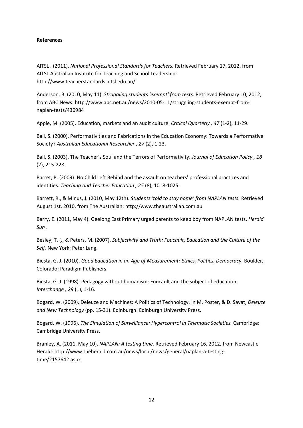### **References**

AITSL . (2011). *National Professional Standards for Teachers.* Retrieved February 17, 2012, from AITSL Australian Institute for Teaching and School Leadership: http://www.teacherstandards.aitsl.edu.au/

Anderson, B. (2010, May 11). *Struggling students 'exempt' from tests.* Retrieved February 10, 2012, from ABC News: http://www.abc.net.au/news/2010-05-11/struggling-students-exempt-fromnaplan-tests/430984

Apple, M. (2005). Education, markets and an audit culture. *Critical Quarterly , 47* (1-2), 11-29.

Ball, S. (2000). Performativities and Fabrications in the Education Economy: Towards a Performative Society? *Australian Educational Researcher , 27* (2), 1-23.

Ball, S. (2003). The Teacher's Soul and the Terrors of Performativity. *Journal of Education Policy , 18* (2), 215-228.

Barret, B. (2009). No Child Left Behind and the assault on teachers' professional practices and identities. *Teaching and Teacher Education , 25* (8), 1018-1025.

Barrett, R., & Minus, J. (2010, May 12th). *Students 'told to stay home' from NAPLAN tests.* Retrieved August 1st, 2010, from The Australian: http://www.theaustralian.com.au

Barry, E. (2011, May 4). Geelong East Primary urged parents to keep boy from NAPLAN tests. *Herald Sun* .

Besley, T. (., & Peters, M. (2007). *Subjectivity and Truth: Foucault, Education and the Culture of the Self.* New York: Peter Lang.

Biesta, G. J. (2010). *Good Education in an Age of Measurement: Ethics, Politics, Democracy.* Boulder, Colorado: Paradigm Publishers.

Biesta, G. J. (1998). Pedagogy without humanism: Foucault and the subject of education. *Interchange , 29* (1), 1-16.

Bogard, W. (2009). Deleuze and Machines: A Politics of Technology. In M. Poster, & D. Savat, *Deleuze and New Technology* (pp. 15-31). Edinburgh: Edinburgh University Press.

Bogard, W. (1996). *The Simulation of Surveillance: Hypercontrol in Telematic Societies.* Cambridge: Cambridge University Press.

Branley, A. (2011, May 10). *NAPLAN: A testing time.* Retrieved February 16, 2012, from Newcastle Herald: http://www.theherald.com.au/news/local/news/general/naplan-a-testingtime/2157642.aspx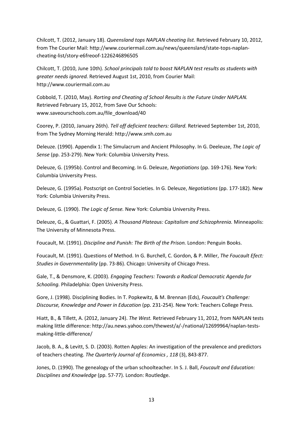Chilcott, T. (2012, January 18). *Queensland tops NAPLAN cheating list.* Retrieved February 10, 2012, from The Courier Mail: http://www.couriermail.com.au/news/queensland/state-tops-naplancheating-list/story-e6freoof-1226246896505

Chilcott, T. (2010, June 10th). *School principals told to boost NAPLAN test results as students with greater needs ignored.* Retrieved August 1st, 2010, from Courier Mail: http://www.couriermail.com.au

Cobbold, T. (2010, May). *Rorting and Cheating of School Results is the Future Under NAPLAN.* Retrieved February 15, 2012, from Save Our Schools: www.saveourschools.com.au/file\_download/40

Coorey, P. (2010, January 26th). *Tell off deficient teachers: Gillard.* Retrieved September 1st, 2010, from The Sydney Morning Herald: http://www.smh.com.au

Deleuze. (1990). Appendix 1: The Simulacrum and Ancient Philosophy. In G. Deeleuze, *The Logic of Sense* (pp. 253-279). New York: Columbia University Press.

Deleuze, G. (1995b). Control and Becoming. In G. Deleuze, *Negotiations* (pp. 169-176). New York: Columbia University Press.

Deleuze, G. (1995a). Postscript on Control Societies. In G. Deleuze, *Negotiations* (pp. 177-182). New York: Columbia University Press.

Deleuze, G. (1990). *The Logic of Sense.* New York: Columbia University Press.

Deleuze, G., & Guattari, F. (2005). *A Thousand Plateaus: Capitalism and Schizophrenia.* Minneapolis: The University of Minnesota Press.

Foucault, M. (1991). *Discipline and Punish: The Birth of the Prison.* London: Penguin Books.

Foucault, M. (1991). Questions of Method. In G. Burchell, C. Gordon, & P. Miller, *The Foucault Efect: Studies in Governmentality* (pp. 73-86). Chicago: University of Chicago Press.

Gale, T., & Densmore, K. (2003). *Engaging Teachers: Towards a Radical Democratic Agenda for Schooling.* Philadelphia: Open University Press.

Gore, J. (1998). Disciplining Bodies. In T. Popkewitz, & M. Brennan (Eds), *Foucault's Challenge: Discourse, Knowledge and Power in Education* (pp. 231-254). New York: Teachers College Press.

Hiatt, B., & Tillett, A. (2012, January 24). *The West.* Retrieved February 11, 2012, from NAPLAN tests making little difference: http://au.news.yahoo.com/thewest/a/-/national/12699964/naplan-testsmaking-little-difference/

Jacob, B. A., & Levitt, S. D. (2003). Rotten Apples: An investigation of the prevalence and predictors of teachers cheating. *The Quarterly Journal of Economics , 118* (3), 843-877.

Jones, D. (1990). The genealogy of the urban schoolteacher. In S. J. Ball, *Foucault and Education: Disciplines and Knowledge* (pp. 57-77). London: Routledge.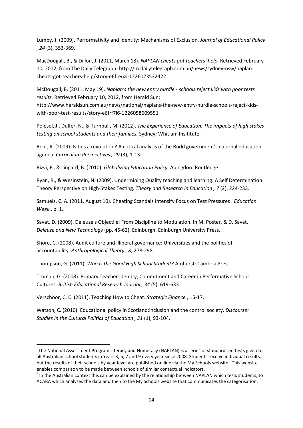Lumby, J. (2009). Performativity and Identity: Mechanisms of Exclusion. *Journal of Educational Policy , 24* (3), 353-369.

MacDougall, B., & Dillon, J. (2011, March 18). *NAPLAN cheats got teachers' help.* Retrieved February 10, 2012, from The Daily Telegraph: http://m.dailytelegraph.com.au/news/sydney-nsw/naplancheats-got-teachers-help/story-e6freuzi-1226023532422

McDougall, B. (2011, May 19). *Naplan's the new entry hurdle - schools reject kids with poor tests results.* Retrieved February 10, 2012, from Herald Sun: http://www.heraldsun.com.au/news/national/naplans-the-new-entry-hurdle-schools-reject-kidswith-poor-test-results/story-e6frf7l6-1226058609551

Polesel, J., Dulfer, N., & Turnbull, M. (2012). *The Experience of Education: The impacts of high stakes testing on school students and their families.* Sydney: Whitlam Insititute.

Reid, A. (2009). Is this a revolution? A critical analysis of the Rudd government's national education agenda. *Curriculum Perspectives , 29* (3), 1-13.

Rizvi, F., & Lingard, B. (2010). *Globalizing Education Policy.* Abingdon: Routledge.

Ryan, R., & Wesinstein, N. (2009). Undermining Quality teaching and learning: A Self Determination Theory Perspective on High-Stakes Testing. *Theory and Research in Education , 7* (2), 224-233.

Samuels, C. A. (2011, August 10). Cheating Scandals Intensify Focus on Test Pressures . *Education Week* , p. 1.

Savat, D. (2009). Deleuze's Objectile: From Discipline to Modulation. In M. Poster, & D. Savat, *Deleuze and New Technology* (pp. 45-62). Edinburgh: Edinburgh University Press.

Shore, C. (2008). Audit culture and illiberal governance: Universities and the politics of accountability. *Anthropological Theory , 8*, 278-298.

Thompson, G. (2011). *Who is the Good High School Student?* Amherst: Cambria Press.

Troman, G. (2008). Primary Teacher Identity, Commitment and Career in Performative School Cultures. *British Educational Research Journal , 34* (5), 619-633.

Verschoor, C. C. (2011). Teaching How to Cheat. *Strategic Finance* , 15-17.

Watson, C. (2010). Educational policy in Scotland:inclusion and the control society. *Discourse: Studies in the Cultural Politics of Education , 31* (1), 93-104.

i <sup>i</sup> The National Assessment Program Literacy and Numeracy (NAPLAN) is a series of standardised tests given to all Australian school students in Years 3, 5, 7 and 9 every year since 2008. Students receive individual results, but the results of their schools by year level are published on line via the My Schools website. This website enables comparison to be made between schools of similar contextual indicators.

<sup>&</sup>lt;sup>ii</sup> In the Australian context this can be explained by the relationship between NAPLAN which tests students, to ACARA which analyses the data and then to the My Schools website that communicates the categorisation,